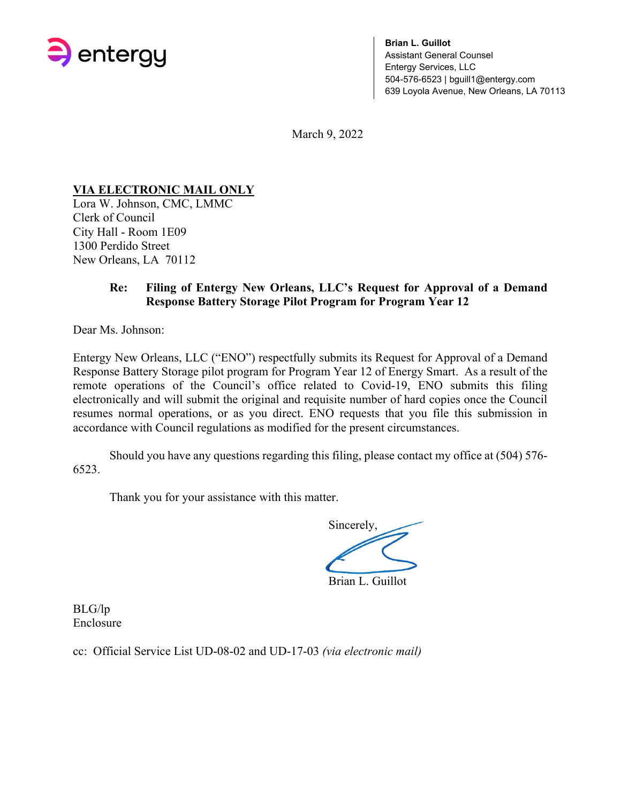

**Brian L. Guillot**  Assistant General Counsel Entergy Services, LLC 504-576-6523 | bguill1@entergy.com 639 Loyola Avenue, New Orleans, LA 70113

March 9, 2022

## **VIA ELECTRONIC MAIL ONLY**

Lora W. Johnson, CMC, LMMC Clerk of Council City Hall - Room 1E09 1300 Perdido Street New Orleans, LA 70112

### **Re: Filing of Entergy New Orleans, LLC's Request for Approval of a Demand Response Battery Storage Pilot Program for Program Year 12**

Dear Ms. Johnson:

Entergy New Orleans, LLC ("ENO") respectfully submits its Request for Approval of a Demand Response Battery Storage pilot program for Program Year 12 of Energy Smart. As a result of the remote operations of the Council's office related to Covid-19, ENO submits this filing electronically and will submit the original and requisite number of hard copies once the Council resumes normal operations, or as you direct. ENO requests that you file this submission in accordance with Council regulations as modified for the present circumstances.

Should you have any questions regarding this filing, please contact my office at (504) 576- 6523.

Thank you for your assistance with this matter.

Sincerely, Brian L. Guillot

BLG/lp Enclosure

cc: Official Service List UD-08-02 and UD-17-03 *(via electronic mail)*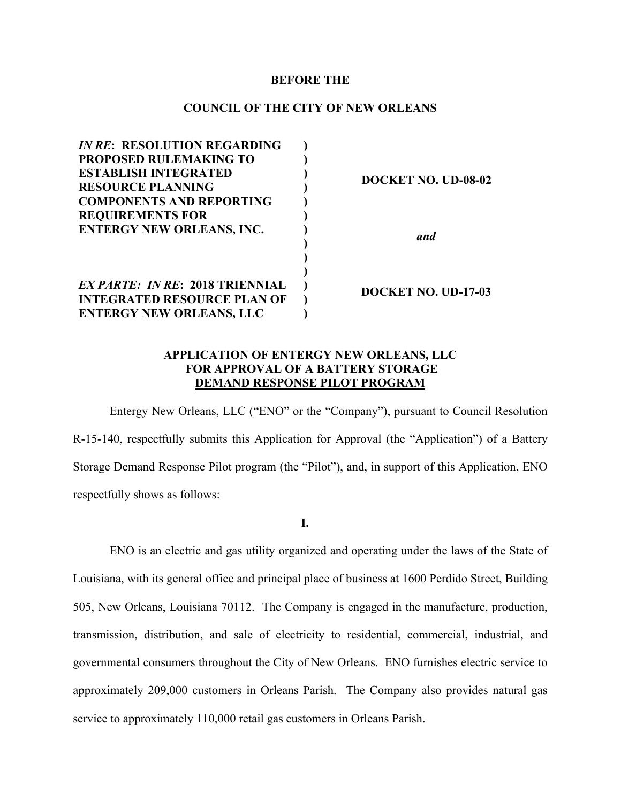#### **BEFORE THE**

#### **COUNCIL OF THE CITY OF NEW ORLEANS**

| <b>IN RE: RESOLUTION REGARDING</b>     |  |                     |
|----------------------------------------|--|---------------------|
| <b>PROPOSED RULEMAKING TO</b>          |  |                     |
| <b>ESTABLISH INTEGRATED</b>            |  | DOCKET NO. UD-08-02 |
| <b>RESOURCE PLANNING</b>               |  |                     |
| <b>COMPONENTS AND REPORTING</b>        |  |                     |
| <b>REQUIREMENTS FOR</b>                |  |                     |
| <b>ENTERGY NEW ORLEANS, INC.</b>       |  | and                 |
|                                        |  |                     |
|                                        |  |                     |
| <b>EX PARTE: IN RE: 2018 TRIENNIAL</b> |  | DOCKET NO. UD-17-03 |
| <b>INTEGRATED RESOURCE PLAN OF</b>     |  |                     |
| <b>ENTERGY NEW ORLEANS, LLC</b>        |  |                     |

#### **APPLICATION OF ENTERGY NEW ORLEANS, LLC FOR APPROVAL OF A BATTERY STORAGE DEMAND RESPONSE PILOT PROGRAM**

Entergy New Orleans, LLC ("ENO" or the "Company"), pursuant to Council Resolution R-15-140, respectfully submits this Application for Approval (the "Application") of a Battery Storage Demand Response Pilot program (the "Pilot"), and, in support of this Application, ENO respectfully shows as follows:

**I.**

ENO is an electric and gas utility organized and operating under the laws of the State of Louisiana, with its general office and principal place of business at 1600 Perdido Street, Building 505, New Orleans, Louisiana 70112. The Company is engaged in the manufacture, production, transmission, distribution, and sale of electricity to residential, commercial, industrial, and governmental consumers throughout the City of New Orleans. ENO furnishes electric service to approximately 209,000 customers in Orleans Parish. The Company also provides natural gas service to approximately 110,000 retail gas customers in Orleans Parish.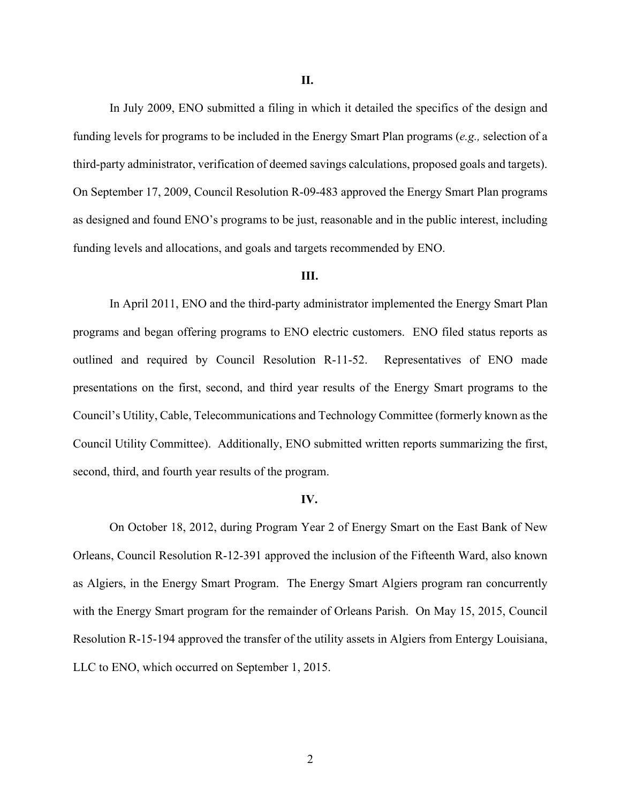In July 2009, ENO submitted a filing in which it detailed the specifics of the design and funding levels for programs to be included in the Energy Smart Plan programs (*e.g.,* selection of a third-party administrator, verification of deemed savings calculations, proposed goals and targets). On September 17, 2009, Council Resolution R-09-483 approved the Energy Smart Plan programs as designed and found ENO's programs to be just, reasonable and in the public interest, including funding levels and allocations, and goals and targets recommended by ENO.

#### **III.**

In April 2011, ENO and the third-party administrator implemented the Energy Smart Plan programs and began offering programs to ENO electric customers. ENO filed status reports as outlined and required by Council Resolution R-11-52. Representatives of ENO made presentations on the first, second, and third year results of the Energy Smart programs to the Council's Utility, Cable, Telecommunications and Technology Committee (formerly known as the Council Utility Committee). Additionally, ENO submitted written reports summarizing the first, second, third, and fourth year results of the program.

#### **IV.**

On October 18, 2012, during Program Year 2 of Energy Smart on the East Bank of New Orleans, Council Resolution R-12-391 approved the inclusion of the Fifteenth Ward, also known as Algiers, in the Energy Smart Program. The Energy Smart Algiers program ran concurrently with the Energy Smart program for the remainder of Orleans Parish. On May 15, 2015, Council Resolution R-15-194 approved the transfer of the utility assets in Algiers from Entergy Louisiana, LLC to ENO, which occurred on September 1, 2015.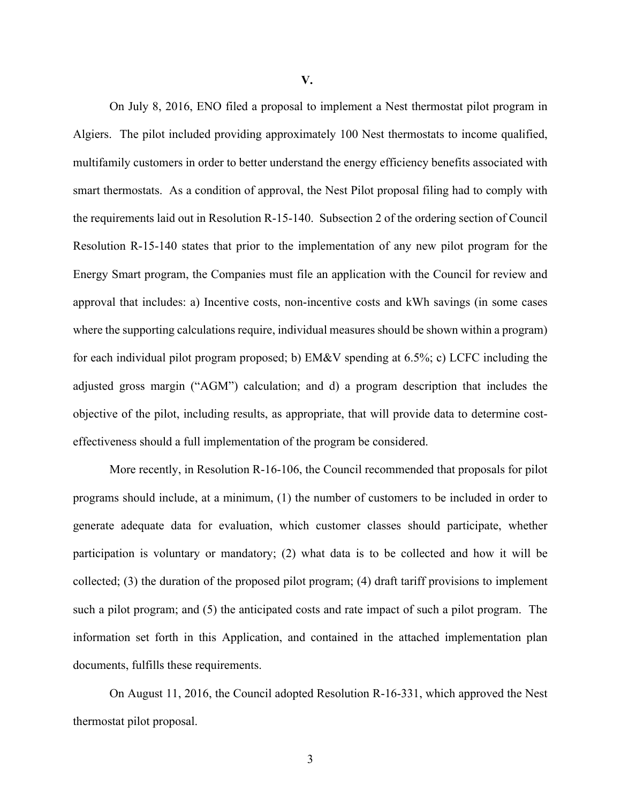**V.**

On July 8, 2016, ENO filed a proposal to implement a Nest thermostat pilot program in Algiers. The pilot included providing approximately 100 Nest thermostats to income qualified, multifamily customers in order to better understand the energy efficiency benefits associated with smart thermostats. As a condition of approval, the Nest Pilot proposal filing had to comply with the requirements laid out in Resolution R-15-140. Subsection 2 of the ordering section of Council Resolution R-15-140 states that prior to the implementation of any new pilot program for the Energy Smart program, the Companies must file an application with the Council for review and approval that includes: a) Incentive costs, non-incentive costs and kWh savings (in some cases where the supporting calculations require, individual measures should be shown within a program) for each individual pilot program proposed; b) EM&V spending at 6.5%; c) LCFC including the adjusted gross margin ("AGM") calculation; and d) a program description that includes the objective of the pilot, including results, as appropriate, that will provide data to determine costeffectiveness should a full implementation of the program be considered.

More recently, in Resolution R-16-106, the Council recommended that proposals for pilot programs should include, at a minimum, (1) the number of customers to be included in order to generate adequate data for evaluation, which customer classes should participate, whether participation is voluntary or mandatory; (2) what data is to be collected and how it will be collected; (3) the duration of the proposed pilot program; (4) draft tariff provisions to implement such a pilot program; and (5) the anticipated costs and rate impact of such a pilot program. The information set forth in this Application, and contained in the attached implementation plan documents, fulfills these requirements.

On August 11, 2016, the Council adopted Resolution R-16-331, which approved the Nest thermostat pilot proposal.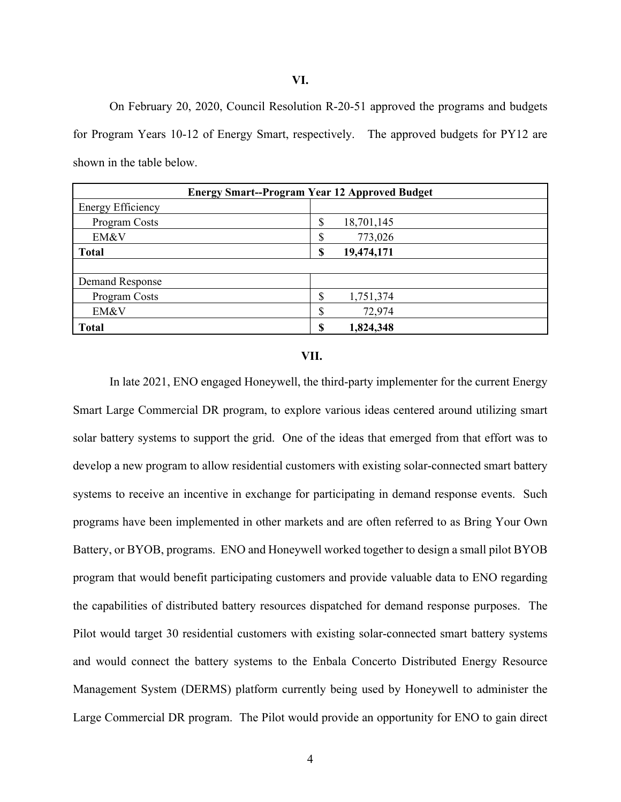#### **VI.**

On February 20, 2020, Council Resolution R-20-51 approved the programs and budgets for Program Years 10-12 of Energy Smart, respectively. The approved budgets for PY12 are shown in the table below.

| <b>Energy Smart--Program Year 12 Approved Budget</b> |                      |  |  |  |  |  |  |
|------------------------------------------------------|----------------------|--|--|--|--|--|--|
| <b>Energy Efficiency</b>                             |                      |  |  |  |  |  |  |
| Program Costs                                        | ጦ<br>18,701,145<br>D |  |  |  |  |  |  |
| EM&V                                                 | 773,026<br>۰D        |  |  |  |  |  |  |
| <b>Total</b>                                         | 19,474,171<br>\$     |  |  |  |  |  |  |
|                                                      |                      |  |  |  |  |  |  |
| Demand Response                                      |                      |  |  |  |  |  |  |
| Program Costs                                        | Φ<br>1,751,374<br>D  |  |  |  |  |  |  |
| EM&V                                                 | ጦ<br>72,974<br>۰D    |  |  |  |  |  |  |
| <b>Total</b>                                         | 1,824,348<br>¢       |  |  |  |  |  |  |

#### **VII.**

In late 2021, ENO engaged Honeywell, the third-party implementer for the current Energy Smart Large Commercial DR program, to explore various ideas centered around utilizing smart solar battery systems to support the grid. One of the ideas that emerged from that effort was to develop a new program to allow residential customers with existing solar-connected smart battery systems to receive an incentive in exchange for participating in demand response events. Such programs have been implemented in other markets and are often referred to as Bring Your Own Battery, or BYOB, programs. ENO and Honeywell worked together to design a small pilot BYOB program that would benefit participating customers and provide valuable data to ENO regarding the capabilities of distributed battery resources dispatched for demand response purposes. The Pilot would target 30 residential customers with existing solar-connected smart battery systems and would connect the battery systems to the Enbala Concerto Distributed Energy Resource Management System (DERMS) platform currently being used by Honeywell to administer the Large Commercial DR program. The Pilot would provide an opportunity for ENO to gain direct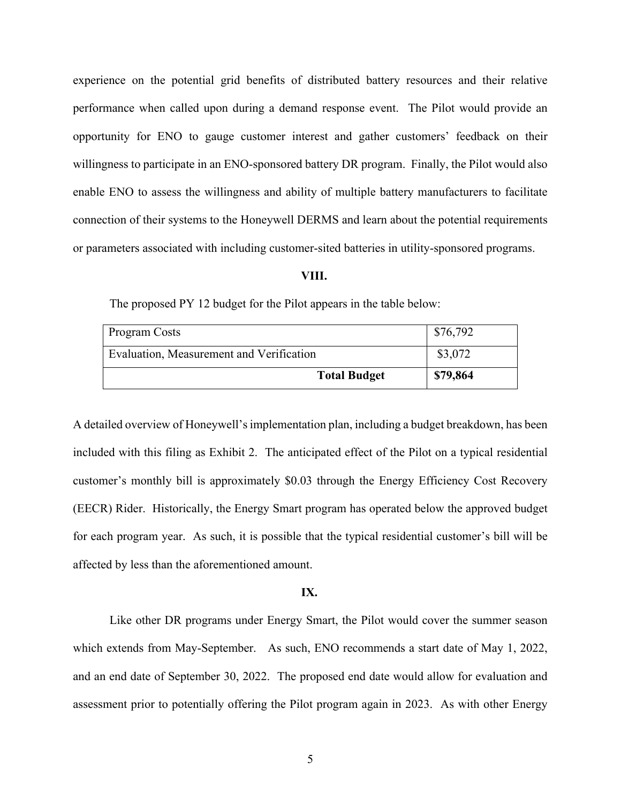experience on the potential grid benefits of distributed battery resources and their relative performance when called upon during a demand response event. The Pilot would provide an opportunity for ENO to gauge customer interest and gather customers' feedback on their willingness to participate in an ENO-sponsored battery DR program. Finally, the Pilot would also enable ENO to assess the willingness and ability of multiple battery manufacturers to facilitate connection of their systems to the Honeywell DERMS and learn about the potential requirements or parameters associated with including customer-sited batteries in utility-sponsored programs.

#### **VIII.**

The proposed PY 12 budget for the Pilot appears in the table below:

| Program Costs                            | \$76,792 |  |
|------------------------------------------|----------|--|
| Evaluation, Measurement and Verification | \$3,072  |  |
| <b>Total Budget</b>                      | \$79,864 |  |

A detailed overview of Honeywell's implementation plan, including a budget breakdown, has been included with this filing as Exhibit 2. The anticipated effect of the Pilot on a typical residential customer's monthly bill is approximately \$0.03 through the Energy Efficiency Cost Recovery (EECR) Rider. Historically, the Energy Smart program has operated below the approved budget for each program year. As such, it is possible that the typical residential customer's bill will be affected by less than the aforementioned amount.

#### **IX.**

Like other DR programs under Energy Smart, the Pilot would cover the summer season which extends from May-September. As such, ENO recommends a start date of May 1, 2022, and an end date of September 30, 2022. The proposed end date would allow for evaluation and assessment prior to potentially offering the Pilot program again in 2023. As with other Energy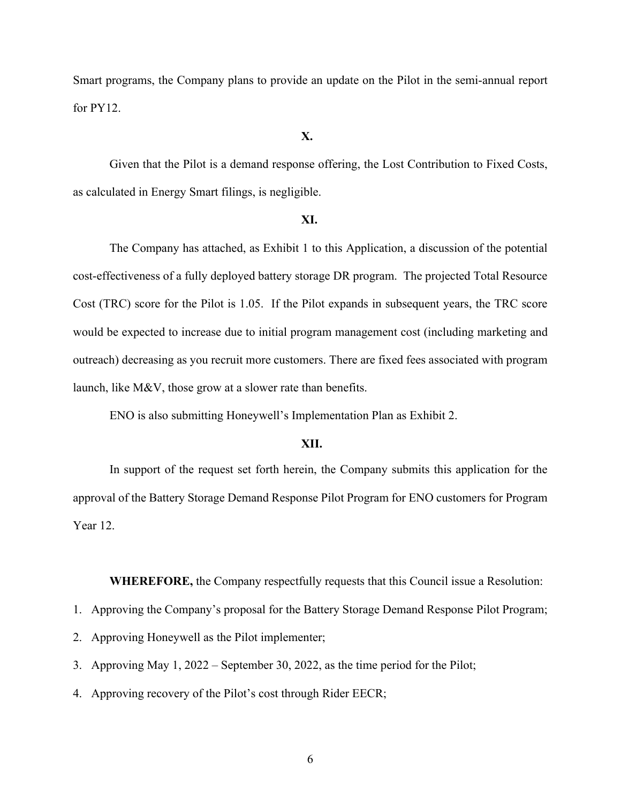Smart programs, the Company plans to provide an update on the Pilot in the semi-annual report for PY12.

#### **X.**

Given that the Pilot is a demand response offering, the Lost Contribution to Fixed Costs, as calculated in Energy Smart filings, is negligible.

#### **XI.**

The Company has attached, as Exhibit 1 to this Application, a discussion of the potential cost-effectiveness of a fully deployed battery storage DR program. The projected Total Resource Cost (TRC) score for the Pilot is 1.05. If the Pilot expands in subsequent years, the TRC score would be expected to increase due to initial program management cost (including marketing and outreach) decreasing as you recruit more customers. There are fixed fees associated with program launch, like M&V, those grow at a slower rate than benefits.

ENO is also submitting Honeywell's Implementation Plan as Exhibit 2.

#### **XII.**

In support of the request set forth herein, the Company submits this application for the approval of the Battery Storage Demand Response Pilot Program for ENO customers for Program Year 12.

**WHEREFORE,** the Company respectfully requests that this Council issue a Resolution:

1. Approving the Company's proposal for the Battery Storage Demand Response Pilot Program;

2. Approving Honeywell as the Pilot implementer;

3. Approving May 1, 2022 – September 30, 2022, as the time period for the Pilot;

4. Approving recovery of the Pilot's cost through Rider EECR;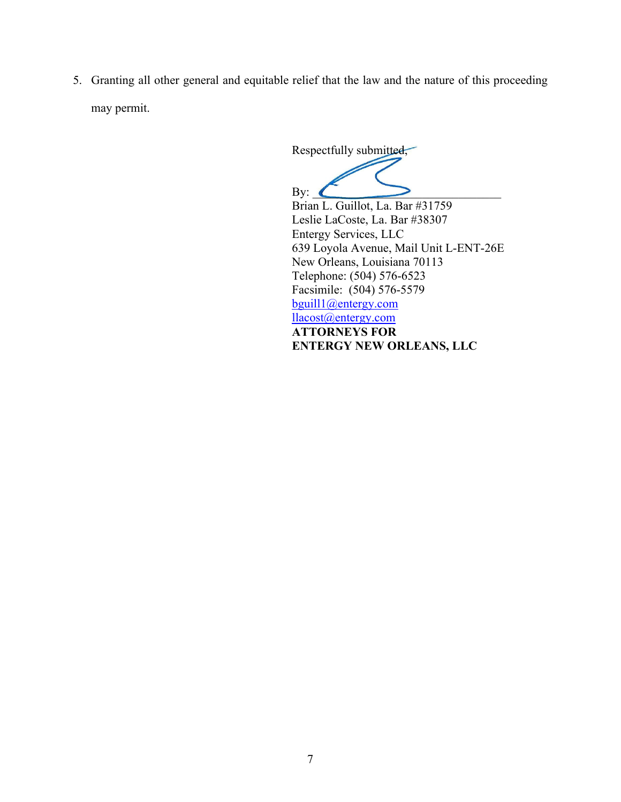5. Granting all other general and equitable relief that the law and the nature of this proceeding may permit.

Respectfully submitted,

By:  $\blacksquare$ Brian L. Guillot, La. Bar #31759 Leslie LaCoste, La. Bar #38307 Entergy Services, LLC 639 Loyola Avenue, Mail Unit L-ENT-26E New Orleans, Louisiana 70113 Telephone: (504) 576-6523 Facsimile: (504) 576-5579 bguill1@entergy.com llacost@entergy.com **ATTORNEYS FOR ENTERGY NEW ORLEANS, LLC**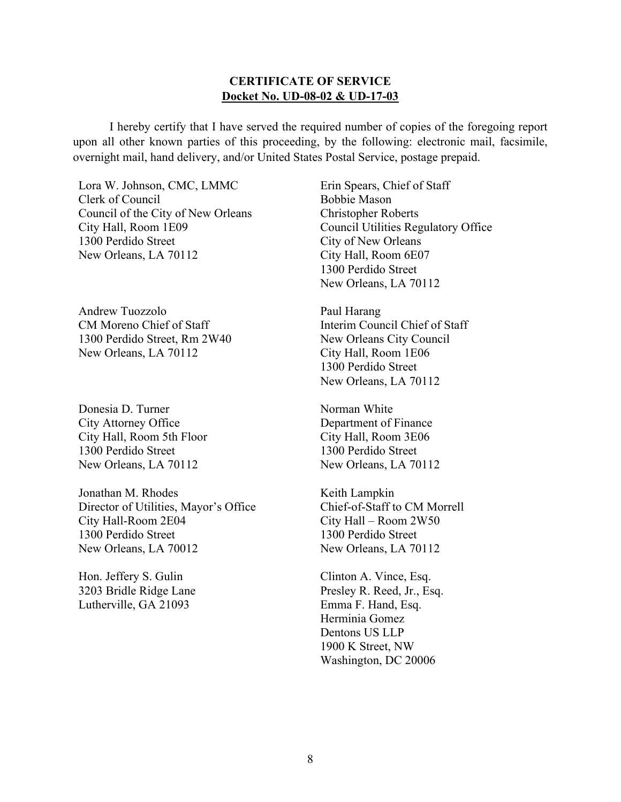### **CERTIFICATE OF SERVICE Docket No. UD-08-02 & UD-17-03**

 I hereby certify that I have served the required number of copies of the foregoing report upon all other known parties of this proceeding, by the following: electronic mail, facsimile, overnight mail, hand delivery, and/or United States Postal Service, postage prepaid.

Lora W. Johnson, CMC, LMMC Clerk of Council Council of the City of New Orleans City Hall, Room 1E09 1300 Perdido Street New Orleans, LA 70112

Andrew Tuozzolo CM Moreno Chief of Staff 1300 Perdido Street, Rm 2W40 New Orleans, LA 70112

Donesia D. Turner City Attorney Office City Hall, Room 5th Floor 1300 Perdido Street New Orleans, LA 70112

Jonathan M. Rhodes Director of Utilities, Mayor's Office City Hall-Room 2E04 1300 Perdido Street New Orleans, LA 70012

Hon. Jeffery S. Gulin 3203 Bridle Ridge Lane Lutherville, GA 21093

Erin Spears, Chief of Staff Bobbie Mason Christopher Roberts Council Utilities Regulatory Office City of New Orleans City Hall, Room 6E07 1300 Perdido Street New Orleans, LA 70112

Paul Harang Interim Council Chief of Staff New Orleans City Council City Hall, Room 1E06 1300 Perdido Street New Orleans, LA 70112

Norman White Department of Finance City Hall, Room 3E06 1300 Perdido Street New Orleans, LA 70112

Keith Lampkin Chief-of-Staff to CM Morrell City Hall – Room 2W50 1300 Perdido Street New Orleans, LA 70112

Clinton A. Vince, Esq. Presley R. Reed, Jr., Esq. Emma F. Hand, Esq. Herminia Gomez Dentons US LLP 1900 K Street, NW Washington, DC 20006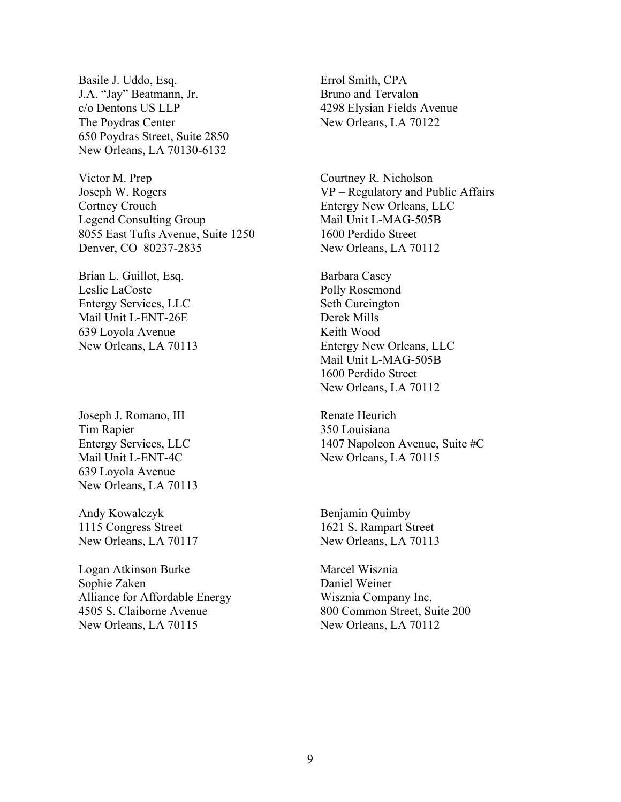Basile J. Uddo, Esq. J.A. "Jay" Beatmann, Jr. c/o Dentons US LLP The Poydras Center 650 Poydras Street, Suite 2850 New Orleans, LA 70130-6132

Victor M. Prep Joseph W. Rogers Cortney Crouch Legend Consulting Group 8055 East Tufts Avenue, Suite 1250 Denver, CO 80237-2835

Brian L. Guillot, Esq. Leslie LaCoste Entergy Services, LLC Mail Unit L-ENT-26E 639 Loyola Avenue New Orleans, LA 70113

Joseph J. Romano, III Tim Rapier Entergy Services, LLC Mail Unit L-ENT-4C 639 Loyola Avenue New Orleans, LA 70113

Andy Kowalczyk 1115 Congress Street New Orleans, LA 70117

Logan Atkinson Burke Sophie Zaken Alliance for Affordable Energy 4505 S. Claiborne Avenue New Orleans, LA 70115

Errol Smith, CPA Bruno and Tervalon 4298 Elysian Fields Avenue New Orleans, LA 70122

Courtney R. Nicholson VP – Regulatory and Public Affairs Entergy New Orleans, LLC Mail Unit L-MAG-505B 1600 Perdido Street New Orleans, LA 70112

Barbara Casey Polly Rosemond Seth Cureington Derek Mills Keith Wood Entergy New Orleans, LLC Mail Unit L-MAG-505B 1600 Perdido Street New Orleans, LA 70112

Renate Heurich 350 Louisiana 1407 Napoleon Avenue, Suite #C New Orleans, LA 70115

Benjamin Quimby 1621 S. Rampart Street New Orleans, LA 70113

Marcel Wisznia Daniel Weiner Wisznia Company Inc. 800 Common Street, Suite 200 New Orleans, LA 70112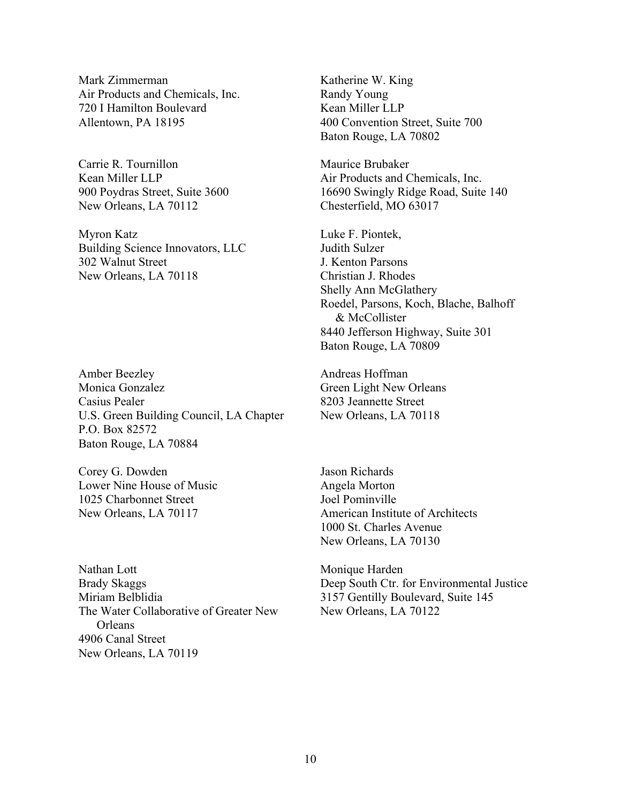Mark Zimmerman Air Products and Chemicals, Inc. 720 I Hamilton Boulevard Allentown, PA 18195

Carrie R. Tournillon Kean Miller LLP 900 Poydras Street, Suite 3600 New Orleans, LA 70112

Myron Katz Building Science Innovators, LLC 302 Walnut Street New Orleans, LA 70118

Amber Beezley Monica Gonzalez Casius Pealer U.S. Green Building Council, LA Chapter P.O. Box 82572 Baton Rouge, LA 70884

Corey G. Dowden Lower Nine House of Music 1025 Charbonnet Street New Orleans, LA 70117

Nathan Lott Brady Skaggs Miriam Belblidia The Water Collaborative of Greater New **Orleans** 4906 Canal Street New Orleans, LA 70119

Katherine W. King Randy Young Kean Miller LLP 400 Convention Street, Suite 700 Baton Rouge, LA 70802

Maurice Brubaker Air Products and Chemicals, Inc. 16690 Swingly Ridge Road, Suite 140 Chesterfield, MO 63017

Luke F. Piontek, Judith Sulzer J. Kenton Parsons Christian J. Rhodes Shelly Ann McGlathery Roedel, Parsons, Koch, Blache, Balhoff & McCollister 8440 Jefferson Highway, Suite 301 Baton Rouge, LA 70809

Andreas Hoffman Green Light New Orleans 8203 Jeannette Street New Orleans, LA 70118

Jason Richards Angela Morton Joel Pominville American Institute of Architects 1000 St. Charles Avenue New Orleans, LA 70130

Monique Harden Deep South Ctr. for Environmental Justice 3157 Gentilly Boulevard, Suite 145 New Orleans, LA 70122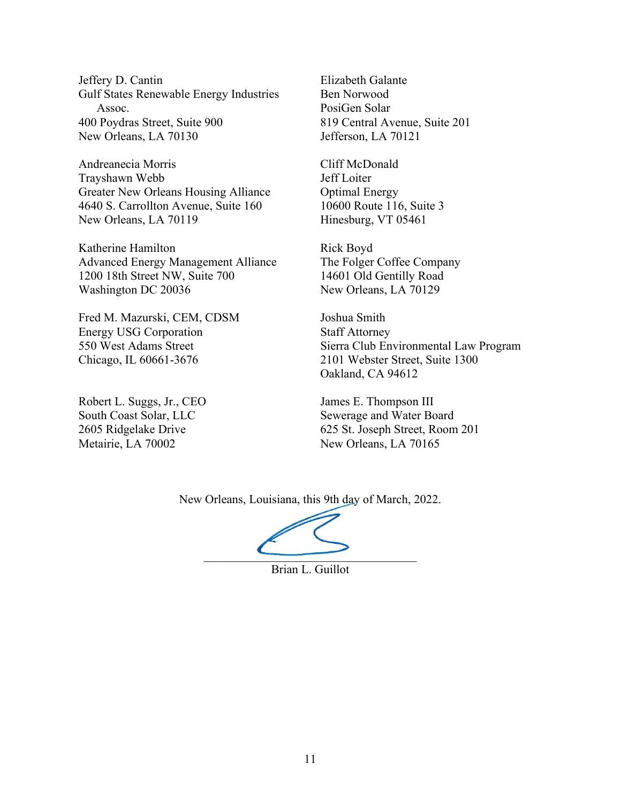Jeffery D. Cantin Gulf States Renewable Energy Industries Assoc. 400 Poydras Street, Suite 900 New Orleans, LA 70130

Andreanecia Morris Trayshawn Webb Greater New Orleans Housing Alliance 4640 S. Carrollton Avenue, Suite 160 New Orleans, LA 70119

Katherine Hamilton Advanced Energy Management Alliance 1200 18th Street NW, Suite 700 Washington DC 20036

Fred M. Mazurski, CEM, CDSM Energy USG Corporation 550 West Adams Street Chicago, IL 60661-3676

Robert L. Suggs, Jr., CEO South Coast Solar, LLC 2605 Ridgelake Drive Metairie, LA 70002

Elizabeth Galante Ben Norwood PosiGen Solar 819 Central Avenue, Suite 201 Jefferson, LA 70121

Cliff McDonald Jeff Loiter Optimal Energy 10600 Route 116, Suite 3 Hinesburg, VT 05461

Rick Boyd The Folger Coffee Company 14601 Old Gentilly Road New Orleans, LA 70129

Joshua Smith Staff Attorney Sierra Club Environmental Law Program 2101 Webster Street, Suite 1300 Oakland, CA 94612

James E. Thompson III Sewerage and Water Board 625 St. Joseph Street, Room 201 New Orleans, LA 70165

New Orleans, Louisiana, this 9th day of March, 2022.

 $\overline{\phantom{a}}$ 

Brian L. Guillot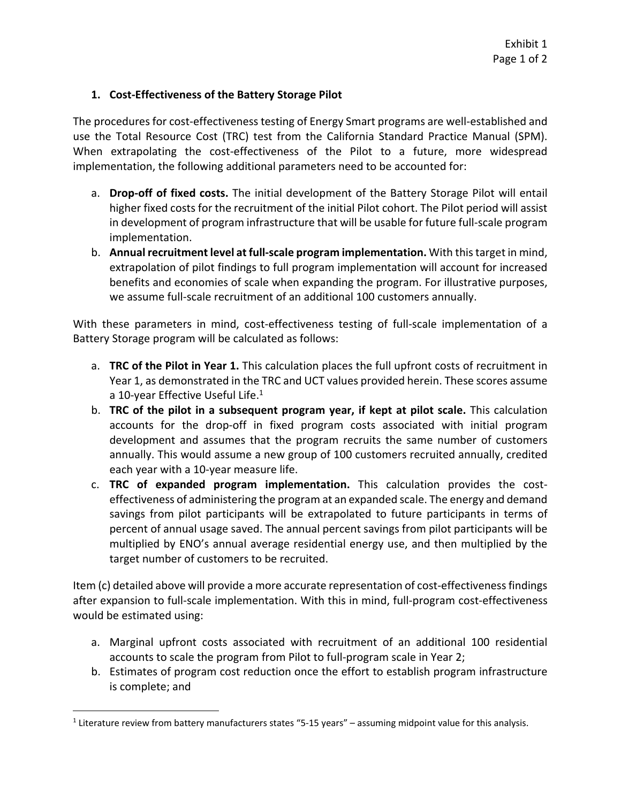### **1. Cost‐Effectiveness of the Battery Storage Pilot**

The procedures for cost-effectiveness testing of Energy Smart programs are well-established and use the Total Resource Cost (TRC) test from the California Standard Practice Manual (SPM). When extrapolating the cost-effectiveness of the Pilot to a future, more widespread implementation, the following additional parameters need to be accounted for:

- a. **Drop‐off of fixed costs.** The initial development of the Battery Storage Pilot will entail higher fixed costs for the recruitment of the initial Pilot cohort. The Pilot period will assist in development of program infrastructure that will be usable for future full‐scale program implementation.
- b. **Annual recruitment level at full‐scale program implementation.** With thistarget in mind, extrapolation of pilot findings to full program implementation will account for increased benefits and economies of scale when expanding the program. For illustrative purposes, we assume full‐scale recruitment of an additional 100 customers annually.

With these parameters in mind, cost-effectiveness testing of full-scale implementation of a Battery Storage program will be calculated as follows:

- a. **TRC of the Pilot in Year 1.** This calculation places the full upfront costs of recruitment in Year 1, as demonstrated in the TRC and UCT values provided herein. These scores assume a 10-year Effective Useful Life.<sup>1</sup>
- b. **TRC of the pilot in a subsequent program year, if kept at pilot scale.** This calculation accounts for the drop‐off in fixed program costs associated with initial program development and assumes that the program recruits the same number of customers annually. This would assume a new group of 100 customers recruited annually, credited each year with a 10‐year measure life.
- c. **TRC of expanded program implementation.** This calculation provides the cost‐ effectiveness of administering the program at an expanded scale. The energy and demand savings from pilot participants will be extrapolated to future participants in terms of percent of annual usage saved. The annual percent savings from pilot participants will be multiplied by ENO's annual average residential energy use, and then multiplied by the target number of customers to be recruited.

Item (c) detailed above will provide a more accurate representation of cost-effectiveness findings after expansion to full-scale implementation. With this in mind, full-program cost-effectiveness would be estimated using:

- a. Marginal upfront costs associated with recruitment of an additional 100 residential accounts to scale the program from Pilot to full‐program scale in Year 2;
- b. Estimates of program cost reduction once the effort to establish program infrastructure is complete; and

<sup>&</sup>lt;sup>1</sup> Literature review from battery manufacturers states "5-15 years" – assuming midpoint value for this analysis.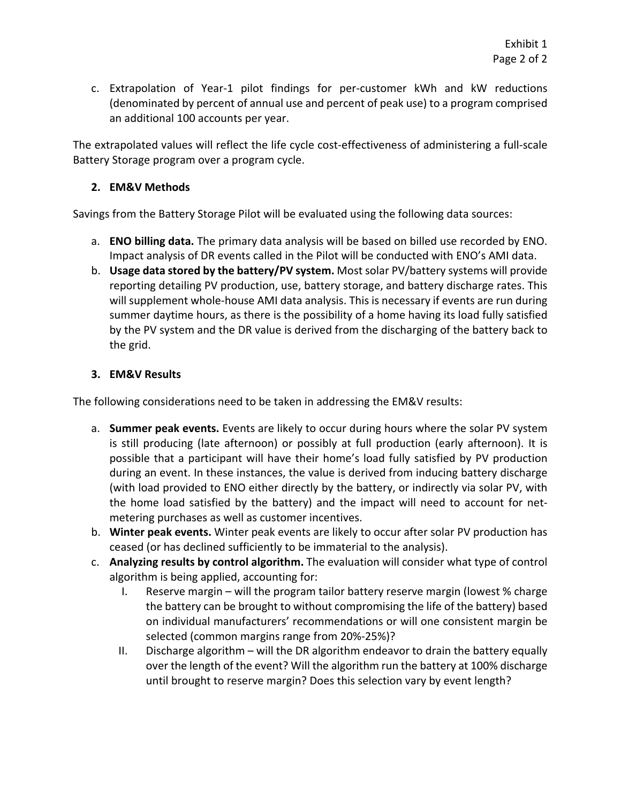c. Extrapolation of Year‐1 pilot findings for per‐customer kWh and kW reductions (denominated by percent of annual use and percent of peak use) to a program comprised an additional 100 accounts per year.

The extrapolated values will reflect the life cycle cost-effectiveness of administering a full-scale Battery Storage program over a program cycle.

## **2. EM&V Methods**

Savings from the Battery Storage Pilot will be evaluated using the following data sources:

- a. **ENO billing data.** The primary data analysis will be based on billed use recorded by ENO. Impact analysis of DR events called in the Pilot will be conducted with ENO's AMI data.
- b. **Usage data stored by the battery/PV system.** Most solar PV/battery systems will provide reporting detailing PV production, use, battery storage, and battery discharge rates. This will supplement whole-house AMI data analysis. This is necessary if events are run during summer daytime hours, as there is the possibility of a home having its load fully satisfied by the PV system and the DR value is derived from the discharging of the battery back to the grid.

## **3. EM&V Results**

The following considerations need to be taken in addressing the EM&V results:

- a. **Summer peak events.** Events are likely to occur during hours where the solar PV system is still producing (late afternoon) or possibly at full production (early afternoon). It is possible that a participant will have their home's load fully satisfied by PV production during an event. In these instances, the value is derived from inducing battery discharge (with load provided to ENO either directly by the battery, or indirectly via solar PV, with the home load satisfied by the battery) and the impact will need to account for net‐ metering purchases as well as customer incentives.
- b. **Winter peak events.** Winter peak events are likely to occur after solar PV production has ceased (or has declined sufficiently to be immaterial to the analysis).
- c. **Analyzing results by control algorithm.** The evaluation will consider what type of control algorithm is being applied, accounting for:
	- I. Reserve margin will the program tailor battery reserve margin (lowest % charge the battery can be brought to without compromising the life of the battery) based on individual manufacturers' recommendations or will one consistent margin be selected (common margins range from 20%‐25%)?
	- II. Discharge algorithm will the DR algorithm endeavor to drain the battery equally over the length of the event? Will the algorithm run the battery at 100% discharge until brought to reserve margin? Does this selection vary by event length?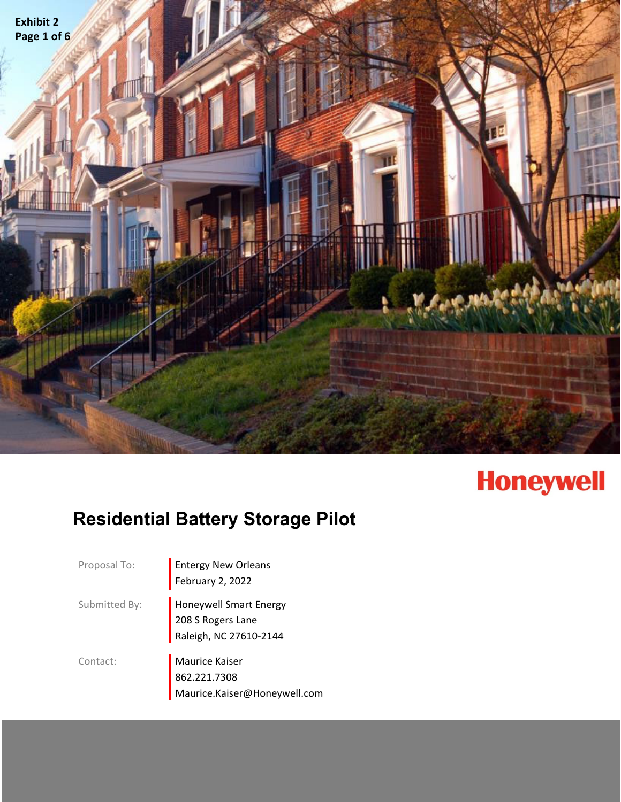

# **Honeywell**

## **Residential Battery Storage Pilot**

Proposal To: **Entergy New Orleans** February 2, 2022

Submitted By: **I Honeywell Smart Energy** 208 S Rogers Lane Raleigh, NC 27610‐2144

Contact: **Maurice Kaiser** 862.221.7308 Maurice.Kaiser@Honeywell.com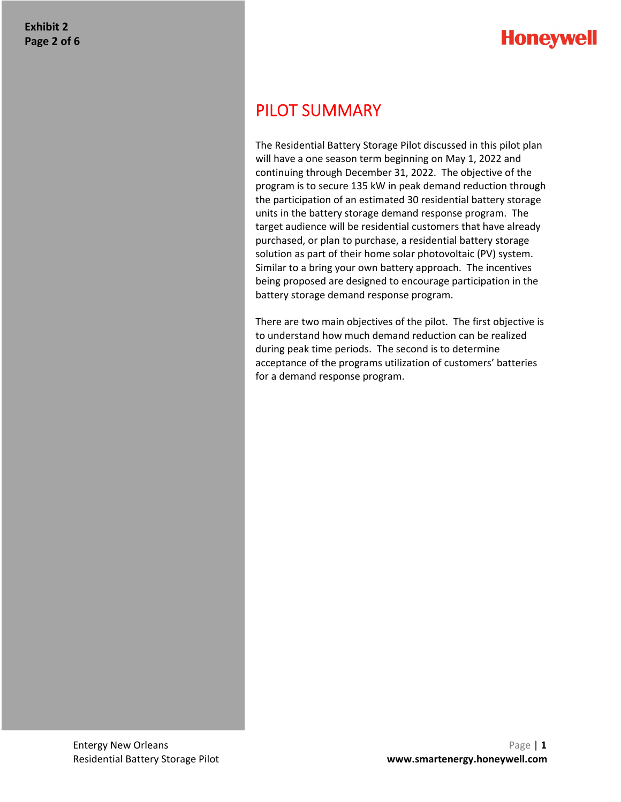## **Honeywell**

## PILOT SUMMARY

The Residential Battery Storage Pilot discussed in this pilot plan will have a one season term beginning on May 1, 2022 and continuing through December 31, 2022. The objective of the program is to secure 135 kW in peak demand reduction through the participation of an estimated 30 residential battery storage units in the battery storage demand response program. The target audience will be residential customers that have already purchased, or plan to purchase, a residential battery storage solution as part of their home solar photovoltaic (PV) system. Similar to a bring your own battery approach. The incentives being proposed are designed to encourage participation in the battery storage demand response program.

There are two main objectives of the pilot. The first objective is to understand how much demand reduction can be realized during peak time periods. The second is to determine acceptance of the programs utilization of customers' batteries for a demand response program.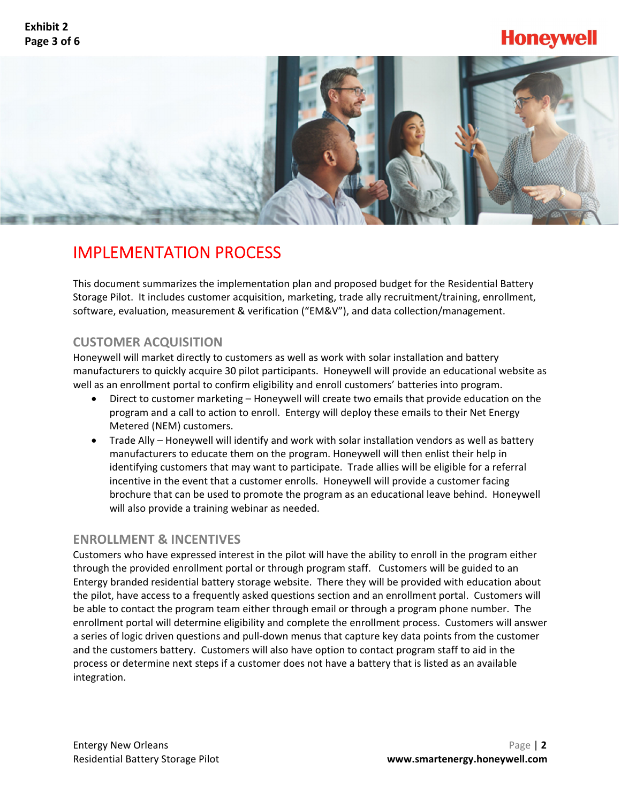## **Honeywell**



## IMPLEMENTATION PROCESS

This document summarizes the implementation plan and proposed budget for the Residential Battery Storage Pilot. It includes customer acquisition, marketing, trade ally recruitment/training, enrollment, software, evaluation, measurement & verification ("EM&V"), and data collection/management.

## **CUSTOMER ACQUISITION**

Honeywell will market directly to customers as well as work with solar installation and battery manufacturers to quickly acquire 30 pilot participants. Honeywell will provide an educational website as well as an enrollment portal to confirm eligibility and enroll customers' batteries into program.

- Direct to customer marketing Honeywell will create two emails that provide education on the program and a call to action to enroll. Entergy will deploy these emails to their Net Energy Metered (NEM) customers.
- Trade Ally Honeywell will identify and work with solar installation vendors as well as battery manufacturers to educate them on the program. Honeywell will then enlist their help in identifying customers that may want to participate. Trade allies will be eligible for a referral incentive in the event that a customer enrolls. Honeywell will provide a customer facing brochure that can be used to promote the program as an educational leave behind. Honeywell will also provide a training webinar as needed.

## **ENROLLMENT & INCENTIVES**

Customers who have expressed interest in the pilot will have the ability to enroll in the program either through the provided enrollment portal or through program staff. Customers will be guided to an Entergy branded residential battery storage website. There they will be provided with education about the pilot, have access to a frequently asked questions section and an enrollment portal. Customers will be able to contact the program team either through email or through a program phone number. The enrollment portal will determine eligibility and complete the enrollment process. Customers will answer a series of logic driven questions and pull‐down menus that capture key data points from the customer and the customers battery. Customers will also have option to contact program staff to aid in the process or determine next steps if a customer does not have a battery that is listed as an available integration.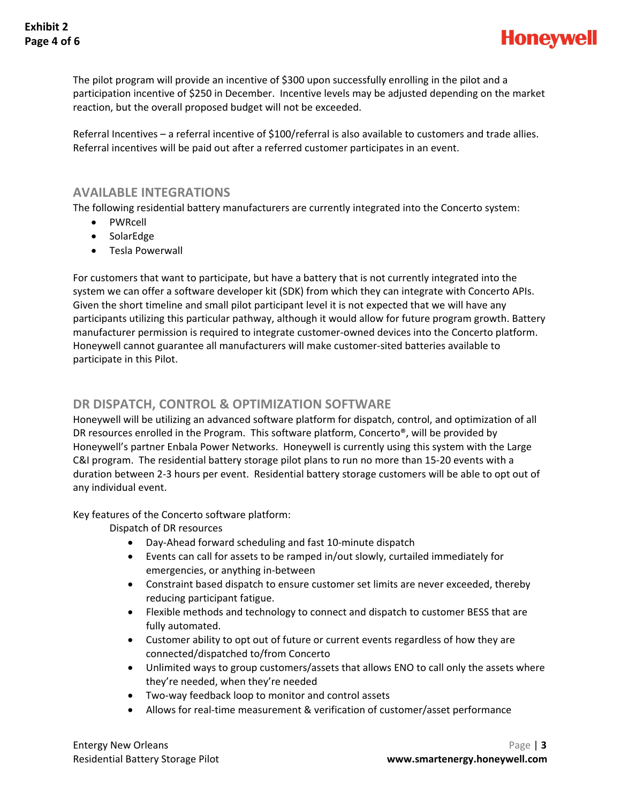

The pilot program will provide an incentive of \$300 upon successfully enrolling in the pilot and a participation incentive of \$250 in December. Incentive levels may be adjusted depending on the market reaction, but the overall proposed budget will not be exceeded.

Referral Incentives – a referral incentive of \$100/referral is also available to customers and trade allies. Referral incentives will be paid out after a referred customer participates in an event.

### **AVAILABLE INTEGRATIONS**

The following residential battery manufacturers are currently integrated into the Concerto system:

- PWRcell
- SolarEdge
- Tesla Powerwall

For customers that want to participate, but have a battery that is not currently integrated into the system we can offer a software developer kit (SDK) from which they can integrate with Concerto APIs. Given the short timeline and small pilot participant level it is not expected that we will have any participants utilizing this particular pathway, although it would allow for future program growth. Battery manufacturer permission is required to integrate customer‐owned devices into the Concerto platform. Honeywell cannot guarantee all manufacturers will make customer‐sited batteries available to participate in this Pilot.

### **DR DISPATCH, CONTROL & OPTIMIZATION SOFTWARE**

Honeywell will be utilizing an advanced software platform for dispatch, control, and optimization of all DR resources enrolled in the Program. This software platform, Concerto®, will be provided by Honeywell's partner Enbala Power Networks. Honeywell is currently using this system with the Large C&I program. The residential battery storage pilot plans to run no more than 15‐20 events with a duration between 2‐3 hours per event. Residential battery storage customers will be able to opt out of any individual event.

Key features of the Concerto software platform:

Dispatch of DR resources

- Day‐Ahead forward scheduling and fast 10‐minute dispatch
- Events can call for assets to be ramped in/out slowly, curtailed immediately for emergencies, or anything in‐between
- Constraint based dispatch to ensure customer set limits are never exceeded, thereby reducing participant fatigue.
- Flexible methods and technology to connect and dispatch to customer BESS that are fully automated.
- Customer ability to opt out of future or current events regardless of how they are connected/dispatched to/from Concerto
- Unlimited ways to group customers/assets that allows ENO to call only the assets where they're needed, when they're needed
- Two-way feedback loop to monitor and control assets
- Allows for real-time measurement & verification of customer/asset performance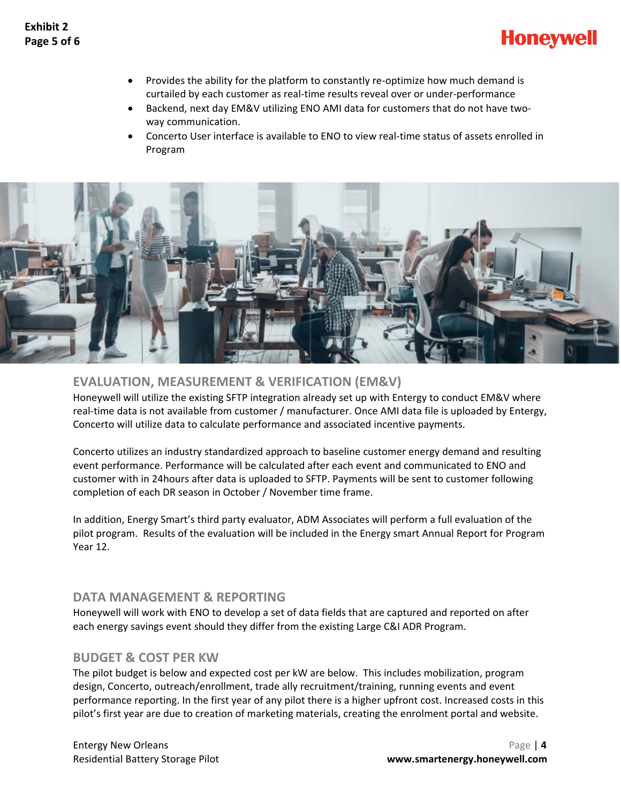

- Provides the ability for the platform to constantly re-optimize how much demand is curtailed by each customer as real‐time results reveal over or under‐performance
- Backend, next day EM&V utilizing ENO AMI data for customers that do not have two‐ way communication.
- Concerto User interface is available to ENO to view real‐time status of assets enrolled in Program



## **EVALUATION, MEASUREMENT & VERIFICATION (EM&V)**

Honeywell will utilize the existing SFTP integration already set up with Entergy to conduct EM&V where real-time data is not available from customer / manufacturer. Once AMI data file is uploaded by Entergy, Concerto will utilize data to calculate performance and associated incentive payments.

Concerto utilizes an industry standardized approach to baseline customer energy demand and resulting event performance. Performance will be calculated after each event and communicated to ENO and customer with in 24hours after data is uploaded to SFTP. Payments will be sent to customer following completion of each DR season in October / November time frame.

In addition, Energy Smart's third party evaluator, ADM Associates will perform a full evaluation of the pilot program. Results of the evaluation will be included in the Energy smart Annual Report for Program Year 12.

## **DATA MANAGEMENT & REPORTING**

Honeywell will work with ENO to develop a set of data fields that are captured and reported on after each energy savings event should they differ from the existing Large C&I ADR Program.

### **BUDGET & COST PER KW**

The pilot budget is below and expected cost per kW are below. This includes mobilization, program design, Concerto, outreach/enrollment, trade ally recruitment/training, running events and event performance reporting. In the first year of any pilot there is a higher upfront cost. Increased costs in this pilot's first year are due to creation of marketing materials, creating the enrolment portal and website.